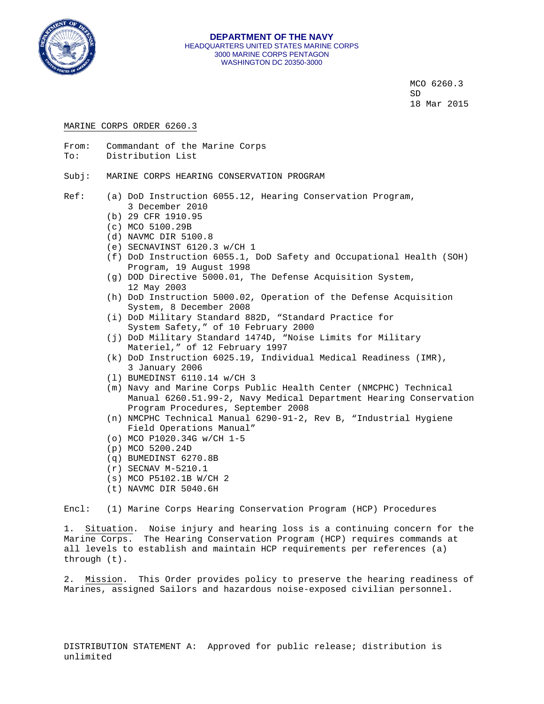

MCO 6260.3 SD  $18$  Mar 2015

#### MARINE CORPS ORDER 6260.3

- From: Commandant of the Marine Corps To: Distribution List
- Subj: MARINE CORPS HEARING CONSERVATION PROGRAM
- Ref: (a) DoD Instruction 6055.12, Hearing Conservation Program, 3 December 2010
	- (b) 29 CFR 1910.95
	- (c) MCO 5100.29B
	- (d) NAVMC DIR 5100.8
	- (e) SECNAVINST 6120.3 w/CH 1
	- (f) DoD Instruction 6055.1, DoD Safety and Occupational Health (SOH) Program, 19 August 1998
	- (g) DOD Directive 5000.01, The Defense Acquisition System, 12 May 2003
	- (h) DoD Instruction 5000.02, Operation of the Defense Acquisition System, 8 December 2008
	- (i) DoD Military Standard 882D, "Standard Practice for System Safety," of 10 February 2000
	- (j) DoD Military Standard 1474D, "Noise Limits for Military Materiel," of 12 February 1997
	- (k) DoD Instruction 6025.19, Individual Medical Readiness (IMR), 3 January 2006
	- (l) BUMEDINST 6110.14 w/CH 3
	- (m) Navy and Marine Corps Public Health Center (NMCPHC) Technical Manual 6260.51.99-2, Navy Medical Department Hearing Conservation Program Procedures, September 2008
	- (n) NMCPHC Technical Manual 6290-91-2, Rev B, "Industrial Hygiene Field Operations Manual"
	- (o) MCO P1020.34G w/CH 1-5
	- (p) MCO 5200.24D
	- (q) BUMEDINST 6270.8B
	- (r) SECNAV M-5210.1
	- (s) MCO P5102.1B W/CH 2
	- (t) NAVMC DIR 5040.6H

Encl: (1) Marine Corps Hearing Conservation Program (HCP) Procedures

1. Situation. Noise injury and hearing loss is a continuing concern for the Marine Corps. The Hearing Conservation Program (HCP) requires commands at all levels to establish and maintain HCP requirements per references (a) through (t).

2. Mission. This Order provides policy to preserve the hearing readiness of Marines, assigned Sailors and hazardous noise-exposed civilian personnel.

DISTRIBUTION STATEMENT A: Approved for public release; distribution is unlimited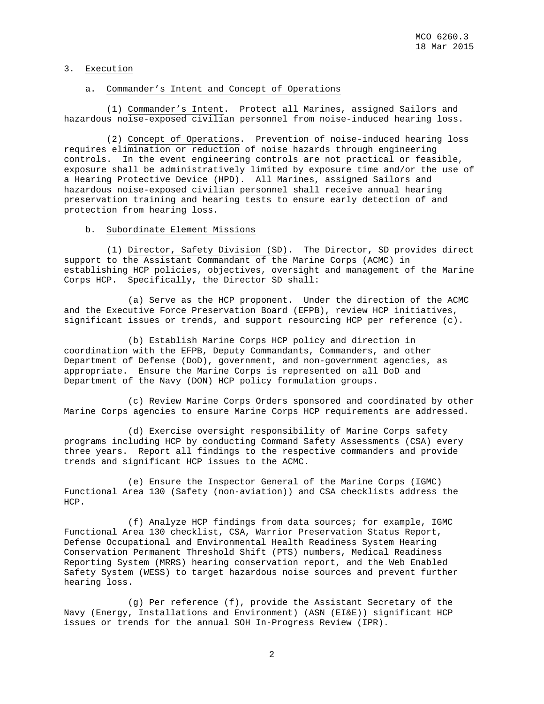## 3. Execution

#### a. Commander's Intent and Concept of Operations

 (1) Commander's Intent. Protect all Marines, assigned Sailors and hazardous noise-exposed civilian personnel from noise-induced hearing loss.

 (2) Concept of Operations. Prevention of noise-induced hearing loss requires elimination or reduction of noise hazards through engineering controls. In the event engineering controls are not practical or feasible, exposure shall be administratively limited by exposure time and/or the use of a Hearing Protective Device (HPD). All Marines, assigned Sailors and hazardous noise-exposed civilian personnel shall receive annual hearing preservation training and hearing tests to ensure early detection of and protection from hearing loss.

#### b. Subordinate Element Missions

 (1) Director, Safety Division (SD). The Director, SD provides direct support to the Assistant Commandant of the Marine Corps (ACMC) in establishing HCP policies, objectives, oversight and management of the Marine Corps HCP. Specifically, the Director SD shall:

 (a) Serve as the HCP proponent. Under the direction of the ACMC and the Executive Force Preservation Board (EFPB), review HCP initiatives, significant issues or trends, and support resourcing HCP per reference (c).

 (b) Establish Marine Corps HCP policy and direction in coordination with the EFPB, Deputy Commandants, Commanders, and other Department of Defense (DoD), government, and non-government agencies, as appropriate. Ensure the Marine Corps is represented on all DoD and Department of the Navy (DON) HCP policy formulation groups.

 (c) Review Marine Corps Orders sponsored and coordinated by other Marine Corps agencies to ensure Marine Corps HCP requirements are addressed.

 (d) Exercise oversight responsibility of Marine Corps safety programs including HCP by conducting Command Safety Assessments (CSA) every three years. Report all findings to the respective commanders and provide trends and significant HCP issues to the ACMC.

 (e) Ensure the Inspector General of the Marine Corps (IGMC) Functional Area 130 (Safety (non-aviation)) and CSA checklists address the HCP.

 (f) Analyze HCP findings from data sources; for example, IGMC Functional Area 130 checklist, CSA, Warrior Preservation Status Report, Defense Occupational and Environmental Health Readiness System Hearing Conservation Permanent Threshold Shift (PTS) numbers, Medical Readiness Reporting System (MRRS) hearing conservation report, and the Web Enabled Safety System (WESS) to target hazardous noise sources and prevent further hearing loss.

 (g) Per reference (f), provide the Assistant Secretary of the Navy (Energy, Installations and Environment) (ASN (EI&E)) significant HCP issues or trends for the annual SOH In-Progress Review (IPR).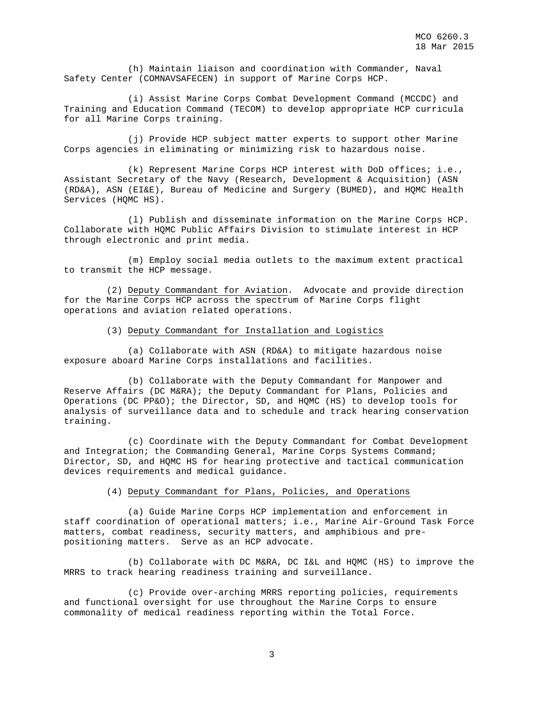(h) Maintain liaison and coordination with Commander, Naval Safety Center (COMNAVSAFECEN) in support of Marine Corps HCP.

 (i) Assist Marine Corps Combat Development Command (MCCDC) and Training and Education Command (TECOM) to develop appropriate HCP curricula for all Marine Corps training.

 (j) Provide HCP subject matter experts to support other Marine Corps agencies in eliminating or minimizing risk to hazardous noise.

 (k) Represent Marine Corps HCP interest with DoD offices; i.e., Assistant Secretary of the Navy (Research, Development & Acquisition) (ASN (RD&A), ASN (EI&E), Bureau of Medicine and Surgery (BUMED), and HQMC Health Services (HQMC HS).

 (l) Publish and disseminate information on the Marine Corps HCP. Collaborate with HQMC Public Affairs Division to stimulate interest in HCP through electronic and print media.

 (m) Employ social media outlets to the maximum extent practical to transmit the HCP message.

 (2) Deputy Commandant for Aviation. Advocate and provide direction for the Marine Corps HCP across the spectrum of Marine Corps flight operations and aviation related operations.

#### (3) Deputy Commandant for Installation and Logistics

 (a) Collaborate with ASN (RD&A) to mitigate hazardous noise exposure aboard Marine Corps installations and facilities.

 (b) Collaborate with the Deputy Commandant for Manpower and Reserve Affairs (DC M&RA); the Deputy Commandant for Plans, Policies and Operations (DC PP&O); the Director, SD, and HQMC (HS) to develop tools for analysis of surveillance data and to schedule and track hearing conservation training.

 (c) Coordinate with the Deputy Commandant for Combat Development and Integration; the Commanding General, Marine Corps Systems Command; Director, SD, and HQMC HS for hearing protective and tactical communication devices requirements and medical guidance.

#### (4) Deputy Commandant for Plans, Policies, and Operations

 (a) Guide Marine Corps HCP implementation and enforcement in staff coordination of operational matters; i.e., Marine Air-Ground Task Force matters, combat readiness, security matters, and amphibious and prepositioning matters. Serve as an HCP advocate.

 (b) Collaborate with DC M&RA, DC I&L and HQMC (HS) to improve the MRRS to track hearing readiness training and surveillance.

 (c) Provide over-arching MRRS reporting policies, requirements and functional oversight for use throughout the Marine Corps to ensure commonality of medical readiness reporting within the Total Force.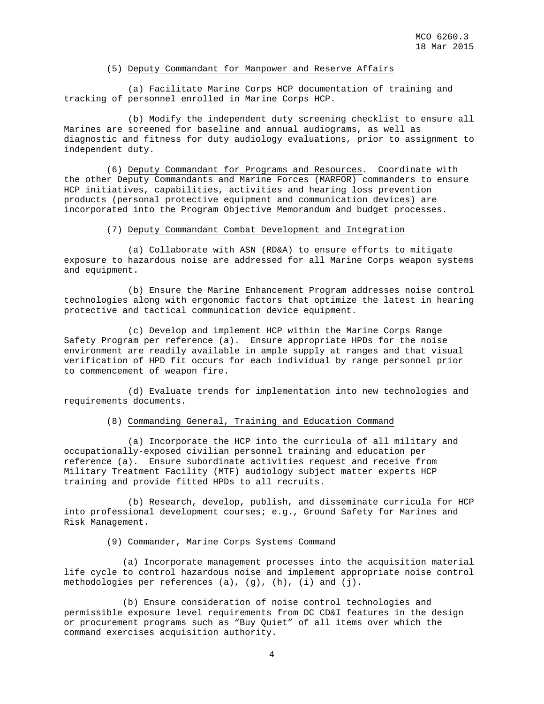## (5) Deputy Commandant for Manpower and Reserve Affairs

 (a) Facilitate Marine Corps HCP documentation of training and tracking of personnel enrolled in Marine Corps HCP.

 (b) Modify the independent duty screening checklist to ensure all Marines are screened for baseline and annual audiograms, as well as diagnostic and fitness for duty audiology evaluations, prior to assignment to independent duty.

 (6) Deputy Commandant for Programs and Resources. Coordinate with the other Deputy Commandants and Marine Forces (MARFOR) commanders to ensure HCP initiatives, capabilities, activities and hearing loss prevention products (personal protective equipment and communication devices) are incorporated into the Program Objective Memorandum and budget processes.

## (7) Deputy Commandant Combat Development and Integration

 (a) Collaborate with ASN (RD&A) to ensure efforts to mitigate exposure to hazardous noise are addressed for all Marine Corps weapon systems and equipment.

 (b) Ensure the Marine Enhancement Program addresses noise control technologies along with ergonomic factors that optimize the latest in hearing protective and tactical communication device equipment.

 (c) Develop and implement HCP within the Marine Corps Range Safety Program per reference (a). Ensure appropriate HPDs for the noise environment are readily available in ample supply at ranges and that visual verification of HPD fit occurs for each individual by range personnel prior to commencement of weapon fire.

 (d) Evaluate trends for implementation into new technologies and requirements documents.

## (8) Commanding General, Training and Education Command

 (a) Incorporate the HCP into the curricula of all military and occupationally-exposed civilian personnel training and education per reference (a). Ensure subordinate activities request and receive from Military Treatment Facility (MTF) audiology subject matter experts HCP training and provide fitted HPDs to all recruits.

 (b) Research, develop, publish, and disseminate curricula for HCP into professional development courses; e.g., Ground Safety for Marines and Risk Management.

#### (9) Commander, Marine Corps Systems Command

 (a) Incorporate management processes into the acquisition material life cycle to control hazardous noise and implement appropriate noise control methodologies per references (a), (g), (h), (i) and (j).

 (b) Ensure consideration of noise control technologies and permissible exposure level requirements from DC CD&I features in the design or procurement programs such as "Buy Quiet" of all items over which the command exercises acquisition authority.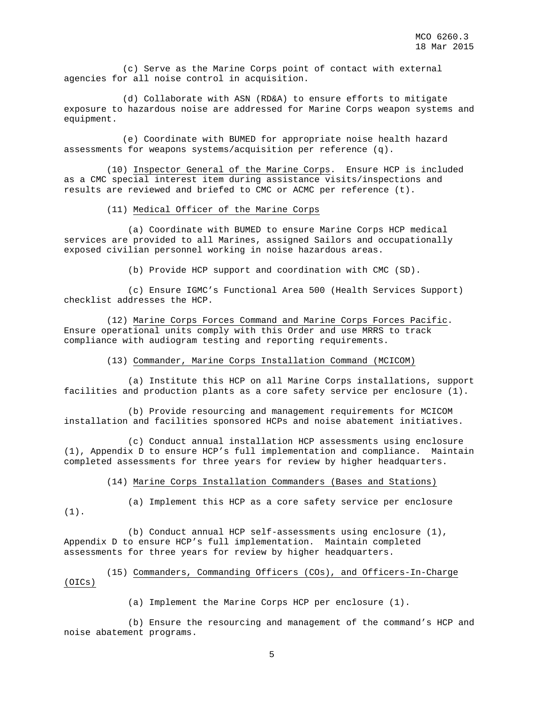(c) Serve as the Marine Corps point of contact with external agencies for all noise control in acquisition.

 (d) Collaborate with ASN (RD&A) to ensure efforts to mitigate exposure to hazardous noise are addressed for Marine Corps weapon systems and equipment.

 (e) Coordinate with BUMED for appropriate noise health hazard assessments for weapons systems/acquisition per reference (q).

 (10) Inspector General of the Marine Corps. Ensure HCP is included as a CMC special interest item during assistance visits/inspections and results are reviewed and briefed to CMC or ACMC per reference (t).

## (11) Medical Officer of the Marine Corps

 (a) Coordinate with BUMED to ensure Marine Corps HCP medical services are provided to all Marines, assigned Sailors and occupationally exposed civilian personnel working in noise hazardous areas.

(b) Provide HCP support and coordination with CMC (SD).

 (c) Ensure IGMC's Functional Area 500 (Health Services Support) checklist addresses the HCP.

 (12) Marine Corps Forces Command and Marine Corps Forces Pacific. Ensure operational units comply with this Order and use MRRS to track compliance with audiogram testing and reporting requirements.

#### (13) Commander, Marine Corps Installation Command (MCICOM)

 (a) Institute this HCP on all Marine Corps installations, support facilities and production plants as a core safety service per enclosure (1).

 (b) Provide resourcing and management requirements for MCICOM installation and facilities sponsored HCPs and noise abatement initiatives.

 (c) Conduct annual installation HCP assessments using enclosure (1), Appendix D to ensure HCP's full implementation and compliance. Maintain completed assessments for three years for review by higher headquarters.

(14) Marine Corps Installation Commanders (Bases and Stations)

(1).

(a) Implement this HCP as a core safety service per enclosure

 (b) Conduct annual HCP self-assessments using enclosure (1), Appendix D to ensure HCP's full implementation. Maintain completed assessments for three years for review by higher headquarters.

## (15) Commanders, Commanding Officers (COs), and Officers-In-Charge (OICs)

(a) Implement the Marine Corps HCP per enclosure (1).

 (b) Ensure the resourcing and management of the command's HCP and noise abatement programs.

5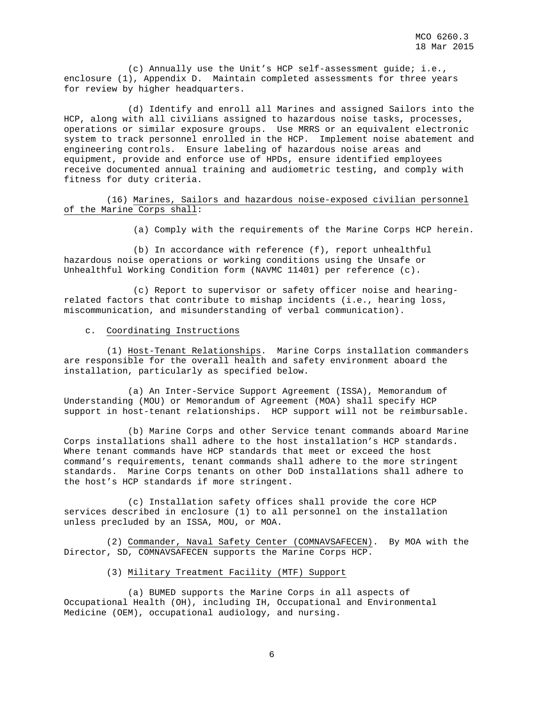(c) Annually use the Unit's HCP self-assessment guide; i.e., enclosure (1), Appendix D. Maintain completed assessments for three years for review by higher headquarters.

 (d) Identify and enroll all Marines and assigned Sailors into the HCP, along with all civilians assigned to hazardous noise tasks, processes, operations or similar exposure groups. Use MRRS or an equivalent electronic system to track personnel enrolled in the HCP. Implement noise abatement and engineering controls. Ensure labeling of hazardous noise areas and equipment, provide and enforce use of HPDs, ensure identified employees receive documented annual training and audiometric testing, and comply with fitness for duty criteria.

 (16) Marines, Sailors and hazardous noise-exposed civilian personnel of the Marine Corps shall:

(a) Comply with the requirements of the Marine Corps HCP herein.

 (b) In accordance with reference (f), report unhealthful hazardous noise operations or working conditions using the Unsafe or Unhealthful Working Condition form (NAVMC 11401) per reference (c).

 (c) Report to supervisor or safety officer noise and hearingrelated factors that contribute to mishap incidents (i.e., hearing loss, miscommunication, and misunderstanding of verbal communication).

#### c. Coordinating Instructions

 (1) Host-Tenant Relationships. Marine Corps installation commanders are responsible for the overall health and safety environment aboard the installation, particularly as specified below.

 (a) An Inter-Service Support Agreement (ISSA), Memorandum of Understanding (MOU) or Memorandum of Agreement (MOA) shall specify HCP support in host-tenant relationships. HCP support will not be reimbursable.

 (b) Marine Corps and other Service tenant commands aboard Marine Corps installations shall adhere to the host installation's HCP standards. Where tenant commands have HCP standards that meet or exceed the host command's requirements, tenant commands shall adhere to the more stringent standards. Marine Corps tenants on other DoD installations shall adhere to the host's HCP standards if more stringent.

 (c) Installation safety offices shall provide the core HCP services described in enclosure (1) to all personnel on the installation unless precluded by an ISSA, MOU, or MOA.

 (2) Commander, Naval Safety Center (COMNAVSAFECEN). By MOA with the Director, SD, COMNAVSAFECEN supports the Marine Corps HCP.

## (3) Military Treatment Facility (MTF) Support

 (a) BUMED supports the Marine Corps in all aspects of Occupational Health (OH), including IH, Occupational and Environmental Medicine (OEM), occupational audiology, and nursing.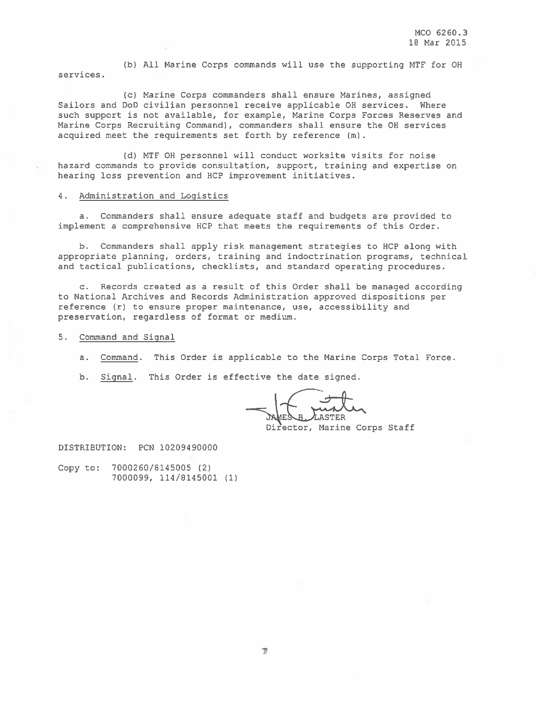(b) All Marine Corps commands will use the supporting MTF for OH services.

(c) Marine Corps commanders shall ensure Marines, assigned Sailors and DoD civilian personnel receive applicable OH services. Where such support is not available, for example, Marine Corps Forces Reserves and Marine Corps Recruiting Command), commanders shall ensure the OH services acquired meet the requirements set forth by reference (m).

(d) MTF OH personnel will conduct worksite visits for noise hazard commands to provide consultation, support, training and expertise on hearing loss prevention and HCP improvement initiatives.

## 4. Administration and Logistics

a. Commanders shall ensure adequate staff and budgets are provided to implement a comprehensive HCP that meets the requirements of this Order.

b. Commanders shall apply risk management strategies to HCP along with appropriate planning, orders, training and indoctrination programs, technical and tactical publications, checklists, and standard operating procedures.

c. Records created as a result of this Order shall be managed according to National Archives and Records Administration approved dispositions per reference (r) to ensure proper maintenance, use, accessibility and preservation, regardless of format or medium.

5. Command and Signal

a. Command. This Order is applicable to the Marine Corps Total Force.

b. Signal. This Order is effective the date signed.

**ASTER** Director, Marine Corps Staff

DISTRIBUTION: PCN 10209490000

Copy to: 7000260/8145005 (2) 7000099, 114/8145001 (1)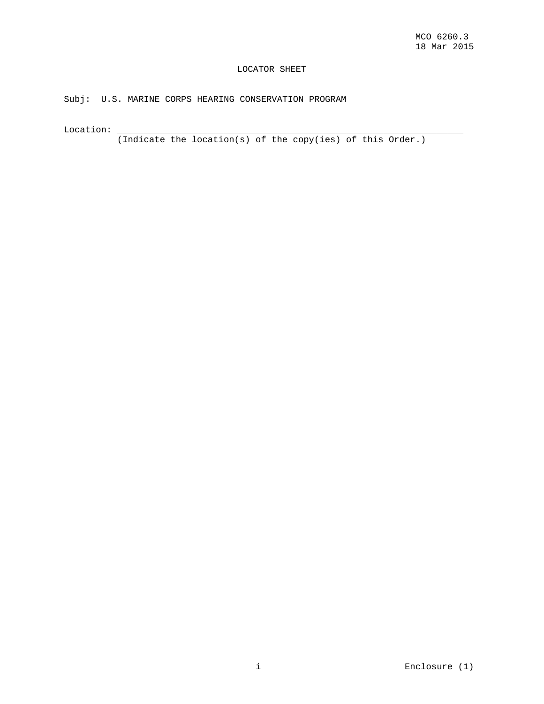## LOCATOR SHEET

## Subj: U.S. MARINE CORPS HEARING CONSERVATION PROGRAM

Location: \_\_\_\_\_\_\_\_\_\_\_\_\_\_\_\_\_\_\_\_\_\_\_\_\_\_\_\_\_\_\_\_\_\_\_\_\_\_\_\_\_\_\_\_\_\_\_\_\_\_\_\_\_\_\_\_\_\_\_\_\_\_\_\_\_

(Indicate the location(s) of the copy(ies) of this Order.)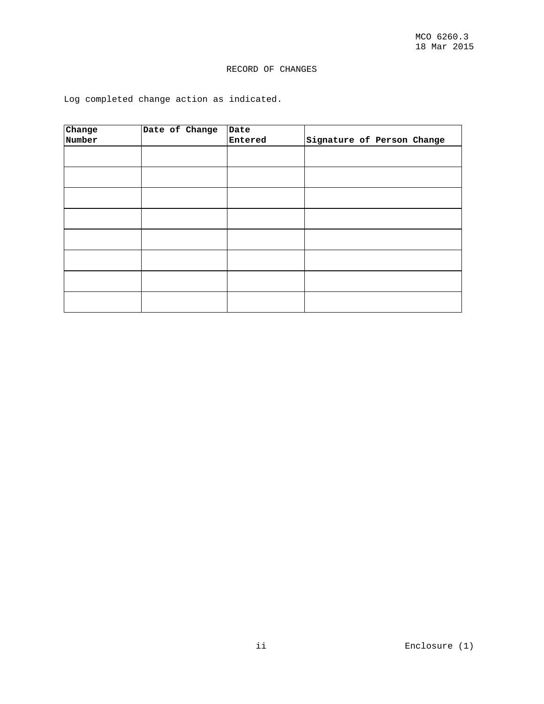## RECORD OF CHANGES

Log completed change action as indicated.

| Change | Date of Change | Date    |                            |
|--------|----------------|---------|----------------------------|
| Number |                | Entered | Signature of Person Change |
|        |                |         |                            |
|        |                |         |                            |
|        |                |         |                            |
|        |                |         |                            |
|        |                |         |                            |
|        |                |         |                            |
|        |                |         |                            |
|        |                |         |                            |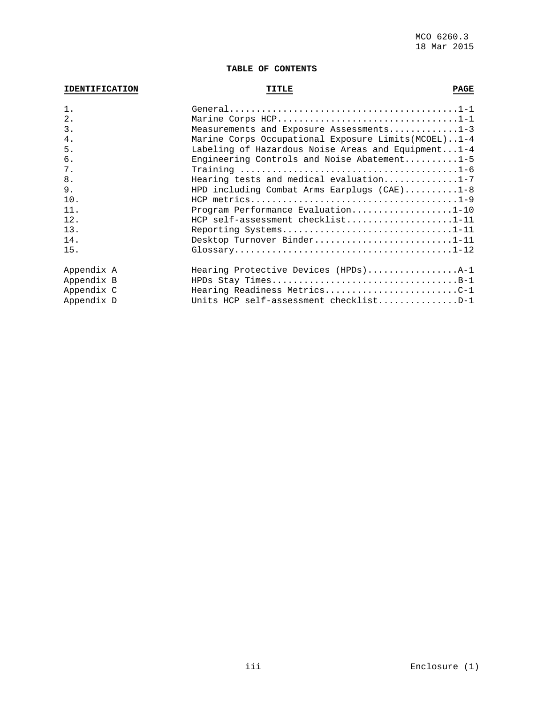## **TABLE OF CONTENTS**

# **IDENTIFICATION ITTLE TITLE PAGE**

| $1$ .      |                                                       |
|------------|-------------------------------------------------------|
| $2$ .      | Marine Corps HCP1-1                                   |
| 3.         | Measurements and Exposure Assessments $1-3$           |
| 4.         | Marine Corps Occupational Exposure Limits (MCOEL)1-4  |
| 5.         | Labeling of Hazardous Noise Areas and Equipment $1-4$ |
| 6.         | Engineering Controls and Noise Abatement1-5           |
| 7.         |                                                       |
| 8.         | Hearing tests and medical evaluation1-7               |
| 9.         | HPD including Combat Arms Earplugs $(CAE)$ 1-8        |
| 10.        |                                                       |
| 11.        | Program Performance Evaluation1-10                    |
| 12.        | HCP self-assessment checklist1-11                     |
| 13.        | Reporting Systems1-11                                 |
| 14.        | Desktop Turnover Binder1-11                           |
| 15.        |                                                       |
| Appendix A | Hearing Protective Devices (HPDs)A-1                  |
| Appendix B | HPDs Stay TimesB-1                                    |
| Appendix C | Hearing Readiness MetricsC-1                          |
| Appendix D | Units HCP self-assessment checklistD-1                |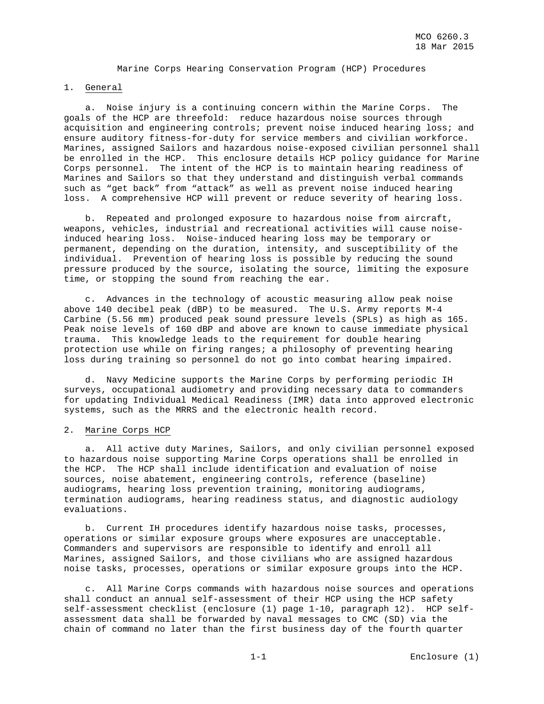## Marine Corps Hearing Conservation Program (HCP) Procedures

## 1. General

 a. Noise injury is a continuing concern within the Marine Corps. The goals of the HCP are threefold: reduce hazardous noise sources through acquisition and engineering controls; prevent noise induced hearing loss; and ensure auditory fitness-for-duty for service members and civilian workforce. Marines, assigned Sailors and hazardous noise-exposed civilian personnel shall be enrolled in the HCP. This enclosure details HCP policy guidance for Marine Corps personnel. The intent of the HCP is to maintain hearing readiness of Marines and Sailors so that they understand and distinguish verbal commands such as "get back" from "attack" as well as prevent noise induced hearing loss. A comprehensive HCP will prevent or reduce severity of hearing loss.

b. Repeated and prolonged exposure to hazardous noise from aircraft, weapons, vehicles, industrial and recreational activities will cause noiseinduced hearing loss. Noise-induced hearing loss may be temporary or permanent, depending on the duration, intensity, and susceptibility of the individual. Prevention of hearing loss is possible by reducing the sound pressure produced by the source, isolating the source, limiting the exposure time, or stopping the sound from reaching the ear.

 c. Advances in the technology of acoustic measuring allow peak noise above 140 decibel peak (dBP) to be measured. The U.S. Army reports M-4 Carbine (5.56 mm) produced peak sound pressure levels (SPLs) as high as 165. Peak noise levels of 160 dBP and above are known to cause immediate physical trauma. This knowledge leads to the requirement for double hearing protection use while on firing ranges; a philosophy of preventing hearing loss during training so personnel do not go into combat hearing impaired.

 d. Navy Medicine supports the Marine Corps by performing periodic IH surveys, occupational audiometry and providing necessary data to commanders for updating Individual Medical Readiness (IMR) data into approved electronic systems, such as the MRRS and the electronic health record.

## 2. Marine Corps HCP

 a. All active duty Marines, Sailors, and only civilian personnel exposed to hazardous noise supporting Marine Corps operations shall be enrolled in the HCP. The HCP shall include identification and evaluation of noise sources, noise abatement, engineering controls, reference (baseline) audiograms, hearing loss prevention training, monitoring audiograms, termination audiograms, hearing readiness status, and diagnostic audiology evaluations.

 b. Current IH procedures identify hazardous noise tasks, processes, operations or similar exposure groups where exposures are unacceptable. Commanders and supervisors are responsible to identify and enroll all Marines, assigned Sailors, and those civilians who are assigned hazardous noise tasks, processes, operations or similar exposure groups into the HCP.

 c. All Marine Corps commands with hazardous noise sources and operations shall conduct an annual self-assessment of their HCP using the HCP safety self-assessment checklist (enclosure (1) page 1-10, paragraph 12). HCP selfassessment data shall be forwarded by naval messages to CMC (SD) via the chain of command no later than the first business day of the fourth quarter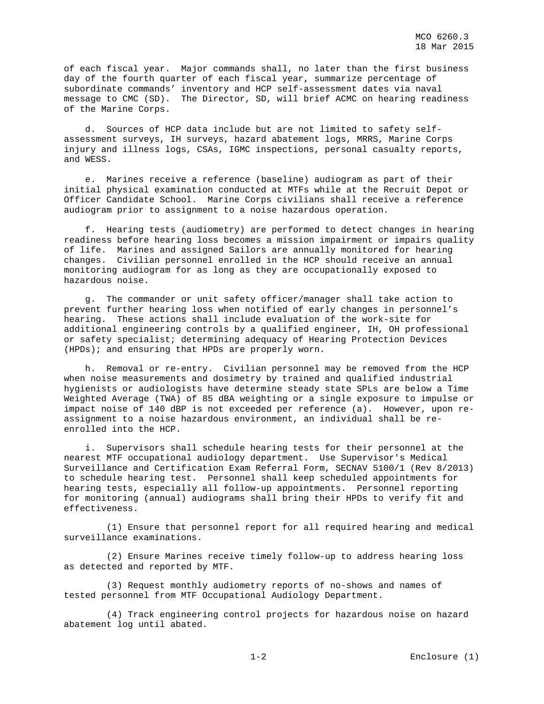of each fiscal year. Major commands shall, no later than the first business day of the fourth quarter of each fiscal year, summarize percentage of subordinate commands' inventory and HCP self-assessment dates via naval message to CMC (SD). The Director, SD, will brief ACMC on hearing readiness of the Marine Corps.

 d. Sources of HCP data include but are not limited to safety selfassessment surveys, IH surveys, hazard abatement logs, MRRS, Marine Corps injury and illness logs, CSAs, IGMC inspections, personal casualty reports, and WESS.

 e. Marines receive a reference (baseline) audiogram as part of their initial physical examination conducted at MTFs while at the Recruit Depot or Officer Candidate School. Marine Corps civilians shall receive a reference audiogram prior to assignment to a noise hazardous operation.

 f. Hearing tests (audiometry) are performed to detect changes in hearing readiness before hearing loss becomes a mission impairment or impairs quality of life. Marines and assigned Sailors are annually monitored for hearing changes. Civilian personnel enrolled in the HCP should receive an annual monitoring audiogram for as long as they are occupationally exposed to hazardous noise.

 g. The commander or unit safety officer/manager shall take action to prevent further hearing loss when notified of early changes in personnel's hearing. These actions shall include evaluation of the work-site for additional engineering controls by a qualified engineer, IH, OH professional or safety specialist; determining adequacy of Hearing Protection Devices (HPDs); and ensuring that HPDs are properly worn.

 h. Removal or re-entry. Civilian personnel may be removed from the HCP when noise measurements and dosimetry by trained and qualified industrial hygienists or audiologists have determine steady state SPLs are below a Time Weighted Average (TWA) of 85 dBA weighting or a single exposure to impulse or impact noise of 140 dBP is not exceeded per reference (a). However, upon reassignment to a noise hazardous environment, an individual shall be reenrolled into the HCP.

 i. Supervisors shall schedule hearing tests for their personnel at the nearest MTF occupational audiology department. Use Supervisor's Medical Surveillance and Certification Exam Referral Form, SECNAV 5100/1 (Rev 8/2013) to schedule hearing test. Personnel shall keep scheduled appointments for hearing tests, especially all follow-up appointments. Personnel reporting for monitoring (annual) audiograms shall bring their HPDs to verify fit and effectiveness.

 (1) Ensure that personnel report for all required hearing and medical surveillance examinations.

 (2) Ensure Marines receive timely follow-up to address hearing loss as detected and reported by MTF.

 (3) Request monthly audiometry reports of no-shows and names of tested personnel from MTF Occupational Audiology Department.

 (4) Track engineering control projects for hazardous noise on hazard abatement log until abated.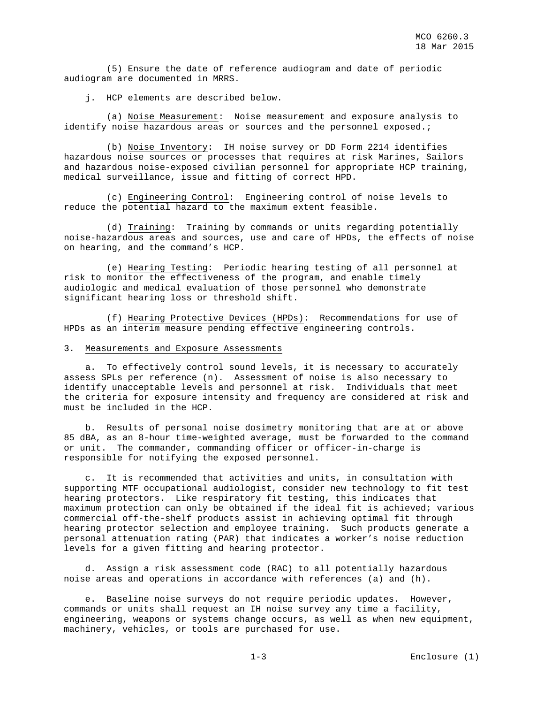(5) Ensure the date of reference audiogram and date of periodic audiogram are documented in MRRS.

j. HCP elements are described below.

 (a) Noise Measurement: Noise measurement and exposure analysis to identify noise hazardous areas or sources and the personnel exposed.;

 (b) Noise Inventory: IH noise survey or DD Form 2214 identifies hazardous noise sources or processes that requires at risk Marines, Sailors and hazardous noise-exposed civilian personnel for appropriate HCP training, medical surveillance, issue and fitting of correct HPD.

 (c) Engineering Control: Engineering control of noise levels to reduce the potential hazard to the maximum extent feasible.

 (d) Training: Training by commands or units regarding potentially noise-hazardous areas and sources, use and care of HPDs, the effects of noise on hearing, and the command's HCP.

 (e) Hearing Testing: Periodic hearing testing of all personnel at risk to monitor the effectiveness of the program, and enable timely audiologic and medical evaluation of those personnel who demonstrate significant hearing loss or threshold shift.

 (f) Hearing Protective Devices (HPDs): Recommendations for use of HPDs as an interim measure pending effective engineering controls.

## 3. Measurements and Exposure Assessments

 a. To effectively control sound levels, it is necessary to accurately assess SPLs per reference (n). Assessment of noise is also necessary to identify unacceptable levels and personnel at risk. Individuals that meet the criteria for exposure intensity and frequency are considered at risk and must be included in the HCP.

 b. Results of personal noise dosimetry monitoring that are at or above 85 dBA, as an 8-hour time-weighted average, must be forwarded to the command or unit. The commander, commanding officer or officer-in-charge is responsible for notifying the exposed personnel.

 c. It is recommended that activities and units, in consultation with supporting MTF occupational audiologist, consider new technology to fit test hearing protectors. Like respiratory fit testing, this indicates that maximum protection can only be obtained if the ideal fit is achieved; various commercial off-the-shelf products assist in achieving optimal fit through hearing protector selection and employee training. Such products generate a personal attenuation rating (PAR) that indicates a worker's noise reduction levels for a given fitting and hearing protector.

 d. Assign a risk assessment code (RAC) to all potentially hazardous noise areas and operations in accordance with references (a) and (h).

 e. Baseline noise surveys do not require periodic updates. However, commands or units shall request an IH noise survey any time a facility, engineering, weapons or systems change occurs, as well as when new equipment, machinery, vehicles, or tools are purchased for use.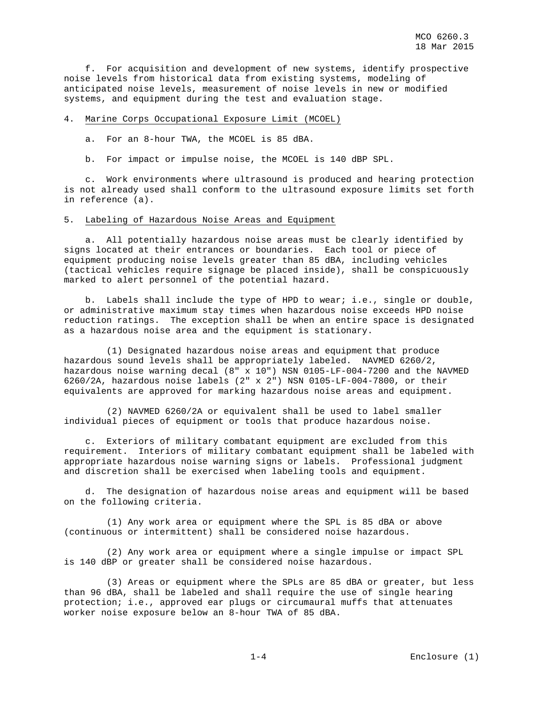f. For acquisition and development of new systems, identify prospective noise levels from historical data from existing systems, modeling of anticipated noise levels, measurement of noise levels in new or modified systems, and equipment during the test and evaluation stage.

#### 4. Marine Corps Occupational Exposure Limit (MCOEL)

a. For an 8-hour TWA, the MCOEL is 85 dBA.

b. For impact or impulse noise, the MCOEL is 140 dBP SPL.

 c. Work environments where ultrasound is produced and hearing protection is not already used shall conform to the ultrasound exposure limits set forth in reference (a).

#### 5. Labeling of Hazardous Noise Areas and Equipment

 a. All potentially hazardous noise areas must be clearly identified by signs located at their entrances or boundaries. Each tool or piece of equipment producing noise levels greater than 85 dBA, including vehicles (tactical vehicles require signage be placed inside), shall be conspicuously marked to alert personnel of the potential hazard.

 b. Labels shall include the type of HPD to wear; i.e., single or double, or administrative maximum stay times when hazardous noise exceeds HPD noise reduction ratings. The exception shall be when an entire space is designated as a hazardous noise area and the equipment is stationary.

 (1) Designated hazardous noise areas and equipment that produce hazardous sound levels shall be appropriately labeled. NAVMED 6260/2, hazardous noise warning decal (8" x 10") NSN 0105-LF-004-7200 and the NAVMED 6260/2A, hazardous noise labels (2" x 2") NSN 0105-LF-004-7800, or their equivalents are approved for marking hazardous noise areas and equipment.

 (2) NAVMED 6260/2A or equivalent shall be used to label smaller individual pieces of equipment or tools that produce hazardous noise.

 c. Exteriors of military combatant equipment are excluded from this requirement. Interiors of military combatant equipment shall be labeled with appropriate hazardous noise warning signs or labels. Professional judgment and discretion shall be exercised when labeling tools and equipment.

 d. The designation of hazardous noise areas and equipment will be based on the following criteria.

 (1) Any work area or equipment where the SPL is 85 dBA or above (continuous or intermittent) shall be considered noise hazardous.

 (2) Any work area or equipment where a single impulse or impact SPL is 140 dBP or greater shall be considered noise hazardous.

 (3) Areas or equipment where the SPLs are 85 dBA or greater, but less than 96 dBA, shall be labeled and shall require the use of single hearing protection; i.e., approved ear plugs or circumaural muffs that attenuates worker noise exposure below an 8-hour TWA of 85 dBA.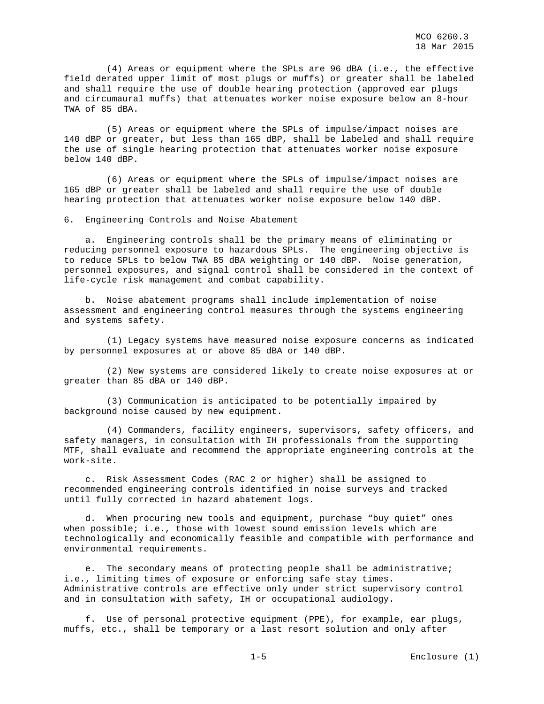(4) Areas or equipment where the SPLs are 96 dBA (i.e., the effective field derated upper limit of most plugs or muffs) or greater shall be labeled and shall require the use of double hearing protection (approved ear plugs and circumaural muffs) that attenuates worker noise exposure below an 8-hour TWA of 85 dBA.

 (5) Areas or equipment where the SPLs of impulse/impact noises are 140 dBP or greater, but less than 165 dBP, shall be labeled and shall require the use of single hearing protection that attenuates worker noise exposure below 140 dBP.

 (6) Areas or equipment where the SPLs of impulse/impact noises are 165 dBP or greater shall be labeled and shall require the use of double hearing protection that attenuates worker noise exposure below 140 dBP.

## 6. Engineering Controls and Noise Abatement

 a. Engineering controls shall be the primary means of eliminating or reducing personnel exposure to hazardous SPLs. The engineering objective is to reduce SPLs to below TWA 85 dBA weighting or 140 dBP. Noise generation, personnel exposures, and signal control shall be considered in the context of life-cycle risk management and combat capability.

 b. Noise abatement programs shall include implementation of noise assessment and engineering control measures through the systems engineering and systems safety.

 (1) Legacy systems have measured noise exposure concerns as indicated by personnel exposures at or above 85 dBA or 140 dBP.

 (2) New systems are considered likely to create noise exposures at or greater than 85 dBA or 140 dBP.

 (3) Communication is anticipated to be potentially impaired by background noise caused by new equipment.

 (4) Commanders, facility engineers, supervisors, safety officers, and safety managers, in consultation with IH professionals from the supporting MTF, shall evaluate and recommend the appropriate engineering controls at the work-site.

 c. Risk Assessment Codes (RAC 2 or higher) shall be assigned to recommended engineering controls identified in noise surveys and tracked until fully corrected in hazard abatement logs.

 d. When procuring new tools and equipment, purchase "buy quiet" ones when possible; i.e., those with lowest sound emission levels which are technologically and economically feasible and compatible with performance and environmental requirements.

e. The secondary means of protecting people shall be administrative; i.e., limiting times of exposure or enforcing safe stay times. Administrative controls are effective only under strict supervisory control and in consultation with safety, IH or occupational audiology.

 f. Use of personal protective equipment (PPE), for example, ear plugs, muffs, etc., shall be temporary or a last resort solution and only after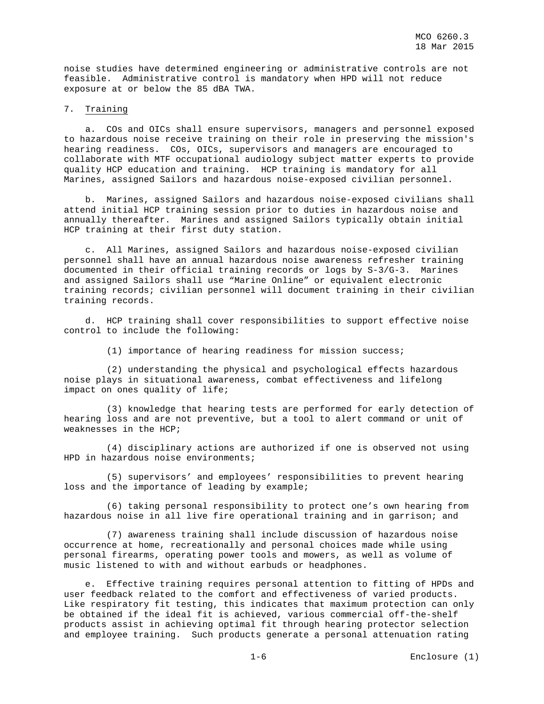noise studies have determined engineering or administrative controls are not feasible. Administrative control is mandatory when HPD will not reduce exposure at or below the 85 dBA TWA.

#### 7. Training

a. COs and OICs shall ensure supervisors, managers and personnel exposed to hazardous noise receive training on their role in preserving the mission's hearing readiness. COs, OICs, supervisors and managers are encouraged to collaborate with MTF occupational audiology subject matter experts to provide quality HCP education and training. HCP training is mandatory for all Marines, assigned Sailors and hazardous noise-exposed civilian personnel.

 b. Marines, assigned Sailors and hazardous noise-exposed civilians shall attend initial HCP training session prior to duties in hazardous noise and annually thereafter. Marines and assigned Sailors typically obtain initial HCP training at their first duty station.

 c. All Marines, assigned Sailors and hazardous noise-exposed civilian personnel shall have an annual hazardous noise awareness refresher training documented in their official training records or logs by S-3/G-3. Marines and assigned Sailors shall use "Marine Online" or equivalent electronic training records; civilian personnel will document training in their civilian training records.

 d. HCP training shall cover responsibilities to support effective noise control to include the following:

(1) importance of hearing readiness for mission success;

 (2) understanding the physical and psychological effects hazardous noise plays in situational awareness, combat effectiveness and lifelong impact on ones quality of life;

 (3) knowledge that hearing tests are performed for early detection of hearing loss and are not preventive, but a tool to alert command or unit of weaknesses in the HCP;

 (4) disciplinary actions are authorized if one is observed not using HPD in hazardous noise environments;

 (5) supervisors' and employees' responsibilities to prevent hearing loss and the importance of leading by example;

 (6) taking personal responsibility to protect one's own hearing from hazardous noise in all live fire operational training and in garrison; and

 (7) awareness training shall include discussion of hazardous noise occurrence at home, recreationally and personal choices made while using personal firearms, operating power tools and mowers, as well as volume of music listened to with and without earbuds or headphones.

 e. Effective training requires personal attention to fitting of HPDs and user feedback related to the comfort and effectiveness of varied products. Like respiratory fit testing, this indicates that maximum protection can only be obtained if the ideal fit is achieved, various commercial off-the-shelf products assist in achieving optimal fit through hearing protector selection and employee training. Such products generate a personal attenuation rating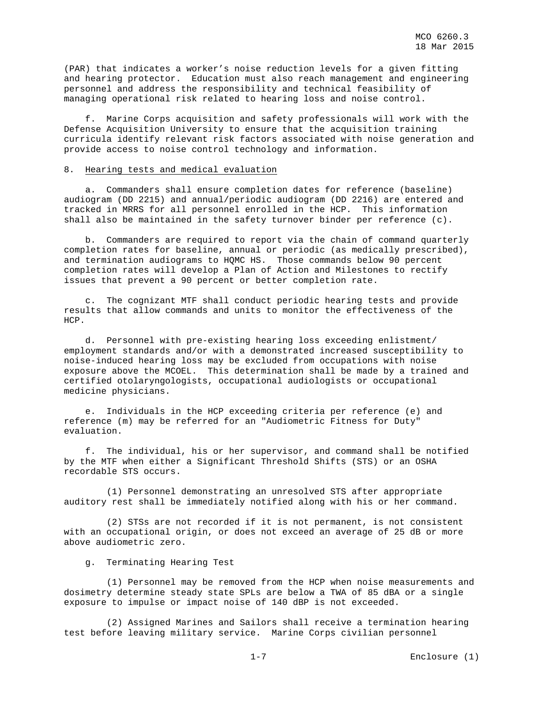(PAR) that indicates a worker's noise reduction levels for a given fitting and hearing protector. Education must also reach management and engineering personnel and address the responsibility and technical feasibility of managing operational risk related to hearing loss and noise control.

 f. Marine Corps acquisition and safety professionals will work with the Defense Acquisition University to ensure that the acquisition training curricula identify relevant risk factors associated with noise generation and provide access to noise control technology and information.

#### 8. Hearing tests and medical evaluation

 a. Commanders shall ensure completion dates for reference (baseline) audiogram (DD 2215) and annual/periodic audiogram (DD 2216) are entered and tracked in MRRS for all personnel enrolled in the HCP. This information shall also be maintained in the safety turnover binder per reference (c).

 b. Commanders are required to report via the chain of command quarterly completion rates for baseline, annual or periodic (as medically prescribed), and termination audiograms to HQMC HS. Those commands below 90 percent completion rates will develop a Plan of Action and Milestones to rectify issues that prevent a 90 percent or better completion rate.

 c. The cognizant MTF shall conduct periodic hearing tests and provide results that allow commands and units to monitor the effectiveness of the HCP.

 d. Personnel with pre-existing hearing loss exceeding enlistment/ employment standards and/or with a demonstrated increased susceptibility to noise-induced hearing loss may be excluded from occupations with noise exposure above the MCOEL. This determination shall be made by a trained and certified otolaryngologists, occupational audiologists or occupational medicine physicians.

 e. Individuals in the HCP exceeding criteria per reference (e) and reference (m) may be referred for an "Audiometric Fitness for Duty" evaluation.

 f. The individual, his or her supervisor, and command shall be notified by the MTF when either a Significant Threshold Shifts (STS) or an OSHA recordable STS occurs.

 (1) Personnel demonstrating an unresolved STS after appropriate auditory rest shall be immediately notified along with his or her command.

 (2) STSs are not recorded if it is not permanent, is not consistent with an occupational origin, or does not exceed an average of 25 dB or more above audiometric zero.

g. Terminating Hearing Test

 (1) Personnel may be removed from the HCP when noise measurements and dosimetry determine steady state SPLs are below a TWA of 85 dBA or a single exposure to impulse or impact noise of 140 dBP is not exceeded.

 (2) Assigned Marines and Sailors shall receive a termination hearing test before leaving military service. Marine Corps civilian personnel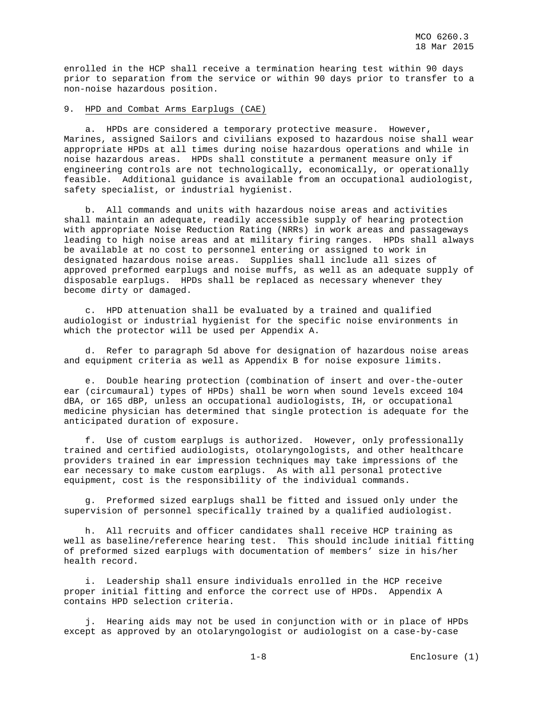enrolled in the HCP shall receive a termination hearing test within 90 days prior to separation from the service or within 90 days prior to transfer to a non-noise hazardous position.

#### 9. HPD and Combat Arms Earplugs (CAE)

 a. HPDs are considered a temporary protective measure. However, Marines, assigned Sailors and civilians exposed to hazardous noise shall wear appropriate HPDs at all times during noise hazardous operations and while in noise hazardous areas. HPDs shall constitute a permanent measure only if engineering controls are not technologically, economically, or operationally feasible. Additional guidance is available from an occupational audiologist, safety specialist, or industrial hygienist.

 b. All commands and units with hazardous noise areas and activities shall maintain an adequate, readily accessible supply of hearing protection with appropriate Noise Reduction Rating (NRRs) in work areas and passageways leading to high noise areas and at military firing ranges. HPDs shall always be available at no cost to personnel entering or assigned to work in designated hazardous noise areas. Supplies shall include all sizes of approved preformed earplugs and noise muffs, as well as an adequate supply of disposable earplugs. HPDs shall be replaced as necessary whenever they become dirty or damaged.

 c. HPD attenuation shall be evaluated by a trained and qualified audiologist or industrial hygienist for the specific noise environments in which the protector will be used per Appendix A.

 d. Refer to paragraph 5d above for designation of hazardous noise areas and equipment criteria as well as Appendix B for noise exposure limits.

 e. Double hearing protection (combination of insert and over-the-outer ear (circumaural) types of HPDs) shall be worn when sound levels exceed 104 dBA, or 165 dBP, unless an occupational audiologists, IH, or occupational medicine physician has determined that single protection is adequate for the anticipated duration of exposure.

 f. Use of custom earplugs is authorized. However, only professionally trained and certified audiologists, otolaryngologists, and other healthcare providers trained in ear impression techniques may take impressions of the ear necessary to make custom earplugs. As with all personal protective equipment, cost is the responsibility of the individual commands.

 g. Preformed sized earplugs shall be fitted and issued only under the supervision of personnel specifically trained by a qualified audiologist.

 h. All recruits and officer candidates shall receive HCP training as well as baseline/reference hearing test. This should include initial fitting of preformed sized earplugs with documentation of members' size in his/her health record.

 i. Leadership shall ensure individuals enrolled in the HCP receive proper initial fitting and enforce the correct use of HPDs. Appendix A contains HPD selection criteria.

 j. Hearing aids may not be used in conjunction with or in place of HPDs except as approved by an otolaryngologist or audiologist on a case-by-case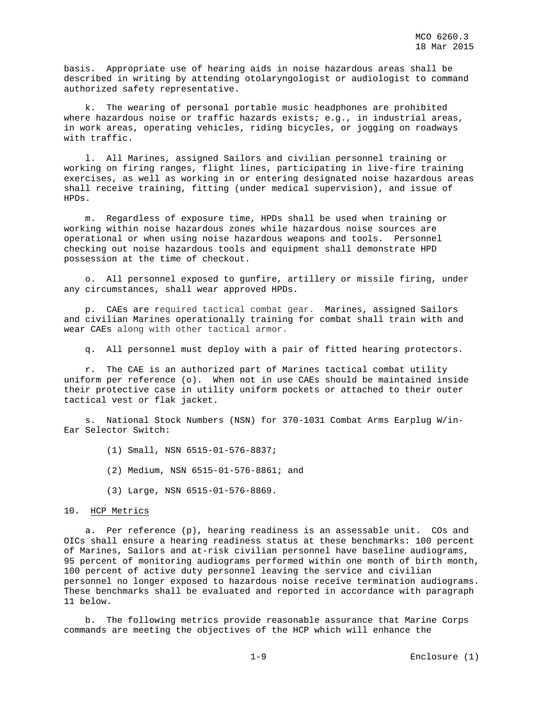basis. Appropriate use of hearing aids in noise hazardous areas shall be described in writing by attending otolaryngologist or audiologist to command authorized safety representative.

 k. The wearing of personal portable music headphones are prohibited where hazardous noise or traffic hazards exists; e.g., in industrial areas, in work areas, operating vehicles, riding bicycles, or jogging on roadways with traffic.

 l. All Marines, assigned Sailors and civilian personnel training or working on firing ranges, flight lines, participating in live-fire training exercises, as well as working in or entering designated noise hazardous areas shall receive training, fitting (under medical supervision), and issue of HPDs.

 m. Regardless of exposure time, HPDs shall be used when training or working within noise hazardous zones while hazardous noise sources are operational or when using noise hazardous weapons and tools. Personnel checking out noise hazardous tools and equipment shall demonstrate HPD possession at the time of checkout.

 o. All personnel exposed to gunfire, artillery or missile firing, under any circumstances, shall wear approved HPDs.

 p. CAEs are required tactical combat gear. Marines, assigned Sailors and civilian Marines operationally training for combat shall train with and wear CAEs along with other tactical armor.

q. All personnel must deploy with a pair of fitted hearing protectors.

 r. The CAE is an authorized part of Marines tactical combat utility uniform per reference (o). When not in use CAEs should be maintained inside their protective case in utility uniform pockets or attached to their outer tactical vest or flak jacket.

 s. National Stock Numbers (NSN) for 370-1031 Combat Arms Earplug W/in-Ear Selector Switch:

- (1) Small, NSN 6515-01-576-8837;
- (2) Medium, NSN 6515-01-576-8861; and
- (3) Large, NSN 6515-01-576-8869.

#### 10. HCP Metrics

 a. Per reference (p), hearing readiness is an assessable unit. COs and OICs shall ensure a hearing readiness status at these benchmarks: 100 percent of Marines, Sailors and at-risk civilian personnel have baseline audiograms, 95 percent of monitoring audiograms performed within one month of birth month, 100 percent of active duty personnel leaving the service and civilian personnel no longer exposed to hazardous noise receive termination audiograms. These benchmarks shall be evaluated and reported in accordance with paragraph 11 below.

 b. The following metrics provide reasonable assurance that Marine Corps commands are meeting the objectives of the HCP which will enhance the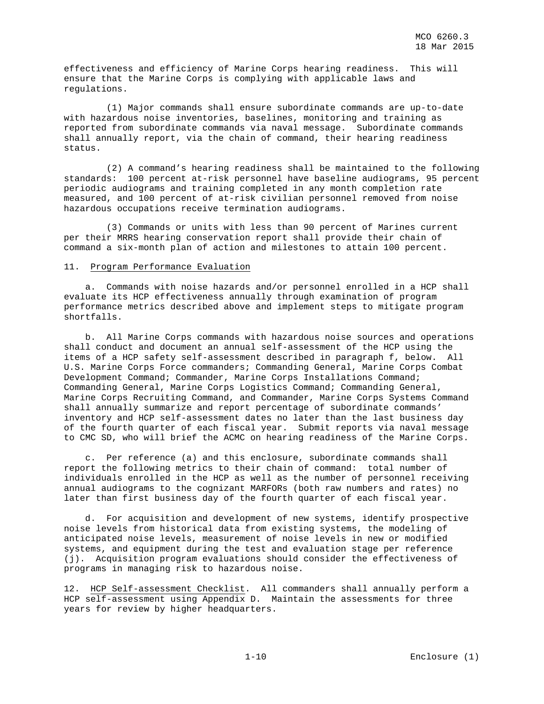effectiveness and efficiency of Marine Corps hearing readiness. This will ensure that the Marine Corps is complying with applicable laws and regulations.

 (1) Major commands shall ensure subordinate commands are up-to-date with hazardous noise inventories, baselines, monitoring and training as reported from subordinate commands via naval message. Subordinate commands shall annually report, via the chain of command, their hearing readiness status.

 (2) A command's hearing readiness shall be maintained to the following standards: 100 percent at-risk personnel have baseline audiograms, 95 percent periodic audiograms and training completed in any month completion rate measured, and 100 percent of at-risk civilian personnel removed from noise hazardous occupations receive termination audiograms.

 (3) Commands or units with less than 90 percent of Marines current per their MRRS hearing conservation report shall provide their chain of command a six-month plan of action and milestones to attain 100 percent.

### 11. Program Performance Evaluation

 a. Commands with noise hazards and/or personnel enrolled in a HCP shall evaluate its HCP effectiveness annually through examination of program performance metrics described above and implement steps to mitigate program shortfalls.

 b. All Marine Corps commands with hazardous noise sources and operations shall conduct and document an annual self-assessment of the HCP using the items of a HCP safety self-assessment described in paragraph f, below. All U.S. Marine Corps Force commanders; Commanding General, Marine Corps Combat Development Command; Commander, Marine Corps Installations Command; Commanding General, Marine Corps Logistics Command; Commanding General, Marine Corps Recruiting Command, and Commander, Marine Corps Systems Command shall annually summarize and report percentage of subordinate commands' inventory and HCP self-assessment dates no later than the last business day of the fourth quarter of each fiscal year. Submit reports via naval message to CMC SD, who will brief the ACMC on hearing readiness of the Marine Corps.

 c. Per reference (a) and this enclosure, subordinate commands shall report the following metrics to their chain of command: total number of individuals enrolled in the HCP as well as the number of personnel receiving annual audiograms to the cognizant MARFORs (both raw numbers and rates) no later than first business day of the fourth quarter of each fiscal year.

 d. For acquisition and development of new systems, identify prospective noise levels from historical data from existing systems, the modeling of anticipated noise levels, measurement of noise levels in new or modified systems, and equipment during the test and evaluation stage per reference (j). Acquisition program evaluations should consider the effectiveness of programs in managing risk to hazardous noise.

12. HCP Self-assessment Checklist. All commanders shall annually perform a HCP self-assessment using Appendix D. Maintain the assessments for three years for review by higher headquarters.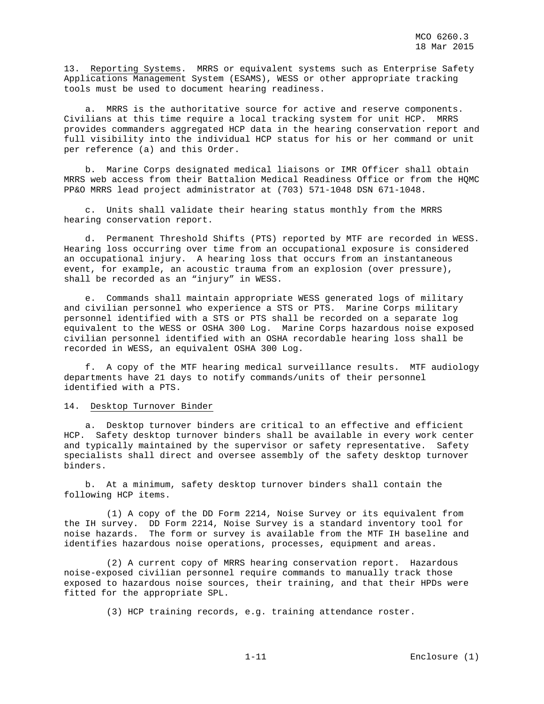13. Reporting Systems. MRRS or equivalent systems such as Enterprise Safety Applications Management System (ESAMS), WESS or other appropriate tracking tools must be used to document hearing readiness.

 a. MRRS is the authoritative source for active and reserve components. Civilians at this time require a local tracking system for unit HCP. MRRS provides commanders aggregated HCP data in the hearing conservation report and full visibility into the individual HCP status for his or her command or unit per reference (a) and this Order.

 b. Marine Corps designated medical liaisons or IMR Officer shall obtain MRRS web access from their Battalion Medical Readiness Office or from the HQMC PP&O MRRS lead project administrator at (703) 571-1048 DSN 671-1048.

 c. Units shall validate their hearing status monthly from the MRRS hearing conservation report.

 d. Permanent Threshold Shifts (PTS) reported by MTF are recorded in WESS. Hearing loss occurring over time from an occupational exposure is considered an occupational injury. A hearing loss that occurs from an instantaneous event, for example, an acoustic trauma from an explosion (over pressure), shall be recorded as an "injury" in WESS.

 e. Commands shall maintain appropriate WESS generated logs of military and civilian personnel who experience a STS or PTS. Marine Corps military personnel identified with a STS or PTS shall be recorded on a separate log equivalent to the WESS or OSHA 300 Log. Marine Corps hazardous noise exposed civilian personnel identified with an OSHA recordable hearing loss shall be recorded in WESS, an equivalent OSHA 300 Log.

 f. A copy of the MTF hearing medical surveillance results. MTF audiology departments have 21 days to notify commands/units of their personnel identified with a PTS.

#### 14. Desktop Turnover Binder

 a. Desktop turnover binders are critical to an effective and efficient HCP. Safety desktop turnover binders shall be available in every work center and typically maintained by the supervisor or safety representative. Safety specialists shall direct and oversee assembly of the safety desktop turnover binders.

 b. At a minimum, safety desktop turnover binders shall contain the following HCP items.

 (1) A copy of the DD Form 2214, Noise Survey or its equivalent from the IH survey. DD Form 2214, Noise Survey is a standard inventory tool for noise hazards. The form or survey is available from the MTF IH baseline and identifies hazardous noise operations, processes, equipment and areas.

 (2) A current copy of MRRS hearing conservation report. Hazardous noise-exposed civilian personnel require commands to manually track those exposed to hazardous noise sources, their training, and that their HPDs were fitted for the appropriate SPL.

(3) HCP training records, e.g. training attendance roster.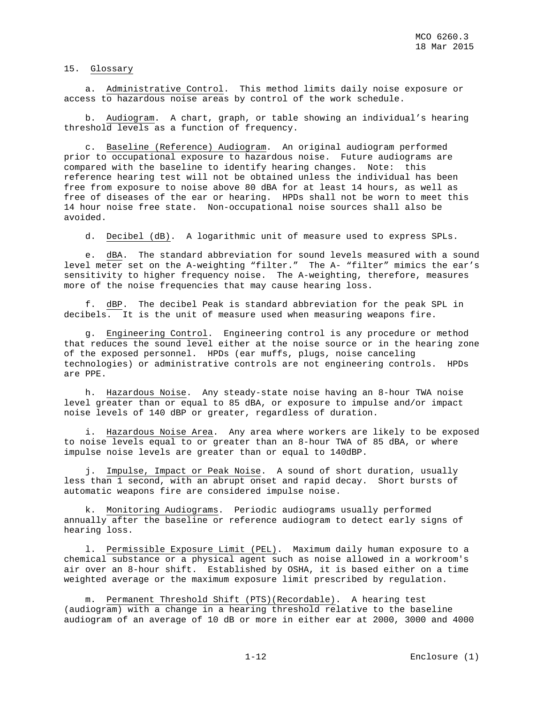15. Glossary

 a. Administrative Control. This method limits daily noise exposure or access to hazardous noise areas by control of the work schedule.

 b. Audiogram. A chart, graph, or table showing an individual's hearing threshold levels as a function of frequency.

 c. Baseline (Reference) Audiogram. An original audiogram performed prior to occupational exposure to hazardous noise. Future audiograms are compared with the baseline to identify hearing changes. Note: this reference hearing test will not be obtained unless the individual has been free from exposure to noise above 80 dBA for at least 14 hours, as well as free of diseases of the ear or hearing. HPDs shall not be worn to meet this 14 hour noise free state. Non-occupational noise sources shall also be avoided.

d. Decibel (dB). A logarithmic unit of measure used to express SPLs.

 e. dBA. The standard abbreviation for sound levels measured with a sound level meter set on the A-weighting "filter." The A- "filter" mimics the ear's sensitivity to higher frequency noise. The A-weighting, therefore, measures more of the noise frequencies that may cause hearing loss.

 f. dBP. The decibel Peak is standard abbreviation for the peak SPL in decibels. It is the unit of measure used when measuring weapons fire.

 g. Engineering Control. Engineering control is any procedure or method that reduces the sound level either at the noise source or in the hearing zone of the exposed personnel. HPDs (ear muffs, plugs, noise canceling technologies) or administrative controls are not engineering controls. HPDs are PPE.

 h. Hazardous Noise. Any steady-state noise having an 8-hour TWA noise level greater than or equal to 85 dBA, or exposure to impulse and/or impact noise levels of 140 dBP or greater, regardless of duration.

 i. Hazardous Noise Area. Any area where workers are likely to be exposed to noise levels equal to or greater than an 8-hour TWA of 85 dBA, or where impulse noise levels are greater than or equal to 140dBP.

 j. Impulse, Impact or Peak Noise. A sound of short duration, usually less than 1 second, with an abrupt onset and rapid decay. Short bursts of automatic weapons fire are considered impulse noise.

 k. Monitoring Audiograms. Periodic audiograms usually performed annually after the baseline or reference audiogram to detect early signs of hearing loss.

 l. Permissible Exposure Limit (PEL). Maximum daily human exposure to a chemical substance or a physical agent such as noise allowed in a workroom's air over an 8-hour shift. Established by OSHA, it is based either on a time weighted average or the maximum exposure limit prescribed by regulation.

 m. Permanent Threshold Shift (PTS)(Recordable). A hearing test (audiogram) with a change in a hearing threshold relative to the baseline audiogram of an average of 10 dB or more in either ear at 2000, 3000 and 4000

1-12 Enclosure (1)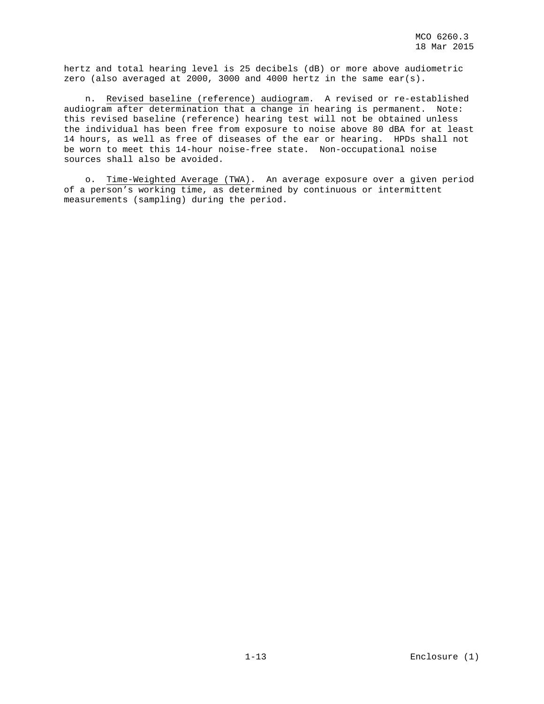hertz and total hearing level is 25 decibels (dB) or more above audiometric zero (also averaged at 2000, 3000 and 4000 hertz in the same ear(s).

 n. Revised baseline (reference) audiogram. A revised or re-established audiogram after determination that a change in hearing is permanent. Note: this revised baseline (reference) hearing test will not be obtained unless the individual has been free from exposure to noise above 80 dBA for at least 14 hours, as well as free of diseases of the ear or hearing. HPDs shall not be worn to meet this 14-hour noise-free state. Non-occupational noise sources shall also be avoided.

 o. Time-Weighted Average (TWA). An average exposure over a given period of a person's working time, as determined by continuous or intermittent measurements (sampling) during the period.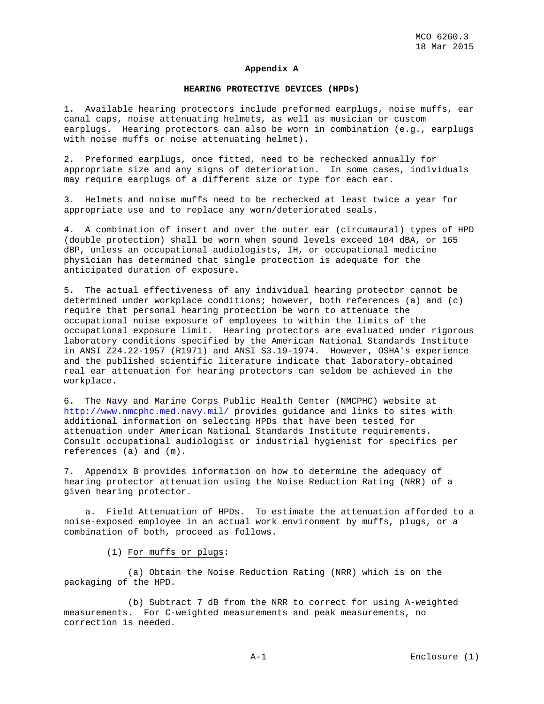#### **Appendix A**

#### **HEARING PROTECTIVE DEVICES (HPDs)**

1. Available hearing protectors include preformed earplugs, noise muffs, ear canal caps, noise attenuating helmets, as well as musician or custom earplugs. Hearing protectors can also be worn in combination (e.g., earplugs with noise muffs or noise attenuating helmet).

2. Preformed earplugs, once fitted, need to be rechecked annually for appropriate size and any signs of deterioration. In some cases, individuals may require earplugs of a different size or type for each ear.

3. Helmets and noise muffs need to be rechecked at least twice a year for appropriate use and to replace any worn/deteriorated seals.

4. A combination of insert and over the outer ear (circumaural) types of HPD (double protection) shall be worn when sound levels exceed 104 dBA, or 165 dBP, unless an occupational audiologists, IH, or occupational medicine physician has determined that single protection is adequate for the anticipated duration of exposure.

5. The actual effectiveness of any individual hearing protector cannot be determined under workplace conditions; however, both references (a) and (c) require that personal hearing protection be worn to attenuate the occupational noise exposure of employees to within the limits of the occupational exposure limit. Hearing protectors are evaluated under rigorous laboratory conditions specified by the American National Standards Institute in ANSI Z24.22-1957 (R1971) and ANSI S3.19-1974. However, OSHA's experience and the published scientific literature indicate that laboratory-obtained real ear attenuation for hearing protectors can seldom be achieved in the workplace.

6. The Navy and Marine Corps Public Health Center (NMCPHC) website at <http://www.nmcphc.med.navy.mil/> provides guidance and links to sites with additional information on selecting HPDs that have been tested for attenuation under American National Standards Institute requirements. Consult occupational audiologist or industrial hygienist for specifics per references (a) and (m).

7. Appendix B provides information on how to determine the adequacy of hearing protector attenuation using the Noise Reduction Rating (NRR) of a given hearing protector.

a. Field Attenuation of HPDs. To estimate the attenuation afforded to a noise-exposed employee in an actual work environment by muffs, plugs, or a combination of both, proceed as follows.

(1) For muffs or plugs:

 (a) Obtain the Noise Reduction Rating (NRR) which is on the packaging of the HPD.

 (b) Subtract 7 dB from the NRR to correct for using A-weighted measurements. For C-weighted measurements and peak measurements, no correction is needed.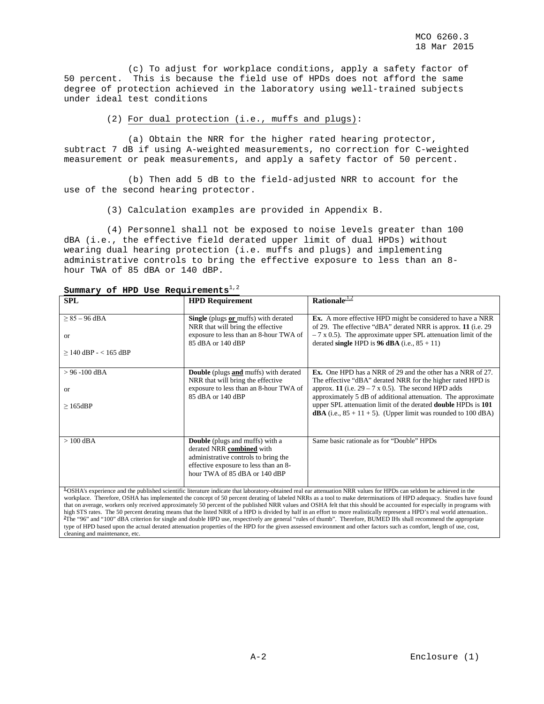(c) To adjust for workplace conditions, apply a safety factor of 50 percent. This is because the field use of HPDs does not afford the same degree of protection achieved in the laboratory using well-trained subjects under ideal test conditions

(2) For dual protection (i.e., muffs and plugs):

 (a) Obtain the NRR for the higher rated hearing protector, subtract 7 dB if using A-weighted measurements, no correction for C-weighted measurement or peak measurements, and apply a safety factor of 50 percent.

 (b) Then add 5 dB to the field-adjusted NRR to account for the use of the second hearing protector.

(3) Calculation examples are provided in Appendix B.

 (4) Personnel shall not be exposed to noise levels greater than 100 dBA (i.e., the effective field derated upper limit of dual HPDs) without wearing dual hearing protection (i.e. muffs and plugs) and implementing administrative controls to bring the effective exposure to less than an 8 hour TWA of 85 dBA or 140 dBP.

| <b>SPL</b>                                                                                                                                                                                                                                                                                                                                                                                                                                                                                                                                                                                                                                                                                                    | <b>HPD Requirement</b>                                                                                                                                                                | Rationale $\frac{1}{2}$                                                                                                                                                                                                                                                                                                                                                                                             |  |  |  |
|---------------------------------------------------------------------------------------------------------------------------------------------------------------------------------------------------------------------------------------------------------------------------------------------------------------------------------------------------------------------------------------------------------------------------------------------------------------------------------------------------------------------------------------------------------------------------------------------------------------------------------------------------------------------------------------------------------------|---------------------------------------------------------------------------------------------------------------------------------------------------------------------------------------|---------------------------------------------------------------------------------------------------------------------------------------------------------------------------------------------------------------------------------------------------------------------------------------------------------------------------------------------------------------------------------------------------------------------|--|--|--|
| $\geq$ 85 - 96 dBA<br><b>or</b><br>$\geq$ 140 dBP - < 165 dBP                                                                                                                                                                                                                                                                                                                                                                                                                                                                                                                                                                                                                                                 | Single (plugs or muffs) with derated<br>NRR that will bring the effective<br>exposure to less than an 8-hour TWA of<br>85 dBA or 140 dBP                                              | <b>Ex.</b> A more effective HPD might be considered to have a NRR<br>of 29. The effective "dBA" derated NRR is approx. 11 (i.e. 29)<br>$-7$ x 0.5). The approximate upper SPL attenuation limit of the<br>derated single HPD is 96 dBA (i.e., $85 + 11$ )                                                                                                                                                           |  |  |  |
| $> 96 - 100$ dBA<br><b>or</b><br>$\geq 165$ dBP                                                                                                                                                                                                                                                                                                                                                                                                                                                                                                                                                                                                                                                               | <b>Double</b> (plugs and muffs) with derated<br>NRR that will bring the effective<br>exposure to less than an 8-hour TWA of<br>85 dBA or 140 dBP                                      | <b>Ex.</b> One HPD has a NRR of 29 and the other has a NRR of 27.<br>The effective "dBA" derated NRR for the higher rated HPD is<br>approx. 11 (i.e. $29 - 7 \times 0.5$ ). The second HPD adds<br>approximately 5 dB of additional attenuation. The approximate<br>upper SPL attenuation limit of the derated <b>double</b> HPDs is 101<br><b>dBA</b> (i.e., $85 + 11 + 5$ ). (Upper limit was rounded to 100 dBA) |  |  |  |
| $>100$ dBA                                                                                                                                                                                                                                                                                                                                                                                                                                                                                                                                                                                                                                                                                                    | <b>Double</b> (plugs and muffs) with a<br>derated NRR combined with<br>administrative controls to bring the<br>effective exposure to less than an 8-<br>hour TWA of 85 dBA or 140 dBP | Same basic rationale as for "Double" HPDs                                                                                                                                                                                                                                                                                                                                                                           |  |  |  |
| <sup>1</sup> OSHA's experience and the published scientific literature indicate that laboratory-obtained real ear attenuation NRR values for HPDs can seldom be achieved in the<br>workplace. Therefore, OSHA has implemented the concept of 50 percent derating of labeled NRRs as a tool to make determinations of HPD adequacy. Studies have found<br>that on average, workers only received approximately 50 percent of the published NRR values and OSHA felt that this should be accounted for especially in programs with<br>high STS rates. The 50 percent derating means that the listed NRR of a HPD is divided by half in an effort to more realistically represent a HPD's real world attenuation |                                                                                                                                                                                       |                                                                                                                                                                                                                                                                                                                                                                                                                     |  |  |  |

Summary of HPD Use Requirements<sup>1,2</sup>

high STS rates. The 50 percent derating means that the listed NRR of a HPD is divided by half in an effort to more realistically represent a HPD's real world attenuation..<br><sup>2</sup>The "96" and "100" dBA criterion for single and type of HPD based upon the actual derated attenuation properties of the HPD for the given assessed environment and other factors such as comfort, length of use, cost, cleaning and maintenance, etc.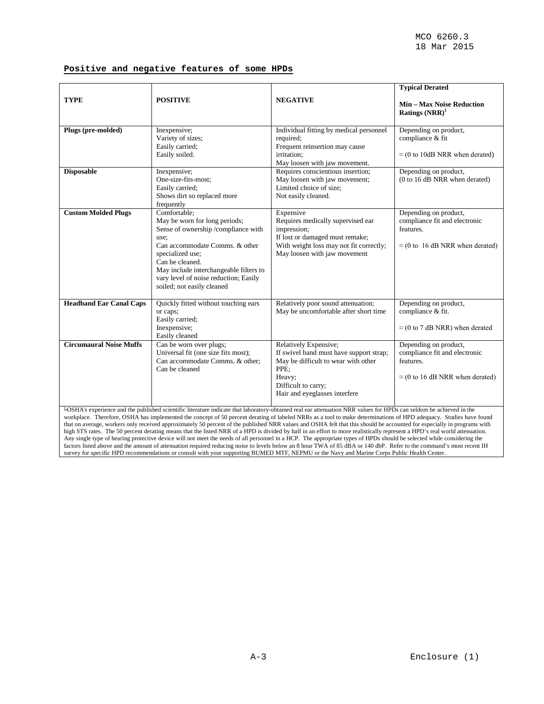# **Positive and negative features of some HPDs**

|                                                                                                                                                                                                                                                                                                                                                                                                                                                                                                                                                                                                                                                                                                                                                                                                                                                                                                                                                                                                                                                                                                                                                                                                           |                                                                                                                                                                                                                                                                                       |                                                                                                                                                                                   | <b>Typical Derated</b>                                                                                         |  |  |
|-----------------------------------------------------------------------------------------------------------------------------------------------------------------------------------------------------------------------------------------------------------------------------------------------------------------------------------------------------------------------------------------------------------------------------------------------------------------------------------------------------------------------------------------------------------------------------------------------------------------------------------------------------------------------------------------------------------------------------------------------------------------------------------------------------------------------------------------------------------------------------------------------------------------------------------------------------------------------------------------------------------------------------------------------------------------------------------------------------------------------------------------------------------------------------------------------------------|---------------------------------------------------------------------------------------------------------------------------------------------------------------------------------------------------------------------------------------------------------------------------------------|-----------------------------------------------------------------------------------------------------------------------------------------------------------------------------------|----------------------------------------------------------------------------------------------------------------|--|--|
| <b>TYPE</b>                                                                                                                                                                                                                                                                                                                                                                                                                                                                                                                                                                                                                                                                                                                                                                                                                                                                                                                                                                                                                                                                                                                                                                                               | <b>POSITIVE</b>                                                                                                                                                                                                                                                                       | <b>NEGATIVE</b>                                                                                                                                                                   | <b>Min - Max Noise Reduction</b><br>Ratings $(NRR)^1$                                                          |  |  |
| Plugs (pre-molded)                                                                                                                                                                                                                                                                                                                                                                                                                                                                                                                                                                                                                                                                                                                                                                                                                                                                                                                                                                                                                                                                                                                                                                                        | Inexpensive;<br>Variety of sizes;<br>Easily carried;<br>Easily soiled.                                                                                                                                                                                                                | Individual fitting by medical personnel<br>required;<br>Frequent reinsertion may cause<br>irritation;<br>May loosen with jaw movement.                                            | Depending on product,<br>compliance & fit<br>$\approx$ (0 to 10dB NRR when derated)                            |  |  |
| <b>Disposable</b>                                                                                                                                                                                                                                                                                                                                                                                                                                                                                                                                                                                                                                                                                                                                                                                                                                                                                                                                                                                                                                                                                                                                                                                         | Inexpensive;<br>One-size-fits-most;<br>Easily carried;<br>Shows dirt so replaced more<br>frequently                                                                                                                                                                                   | Requires conscientious insertion;<br>May loosen with jaw movement;<br>Limited choice of size:<br>Not easily cleaned.                                                              | Depending on product,<br>(0 to 16 dB NRR when derated)                                                         |  |  |
| <b>Custom Molded Plugs</b>                                                                                                                                                                                                                                                                                                                                                                                                                                                                                                                                                                                                                                                                                                                                                                                                                                                                                                                                                                                                                                                                                                                                                                                | Comfortable;<br>May be worn for long periods;<br>Sense of ownership/compliance with<br>use:<br>Can accommodate Comms. & other<br>specialized use;<br>Can be cleaned.<br>May include interchangeable filters to<br>vary level of noise reduction; Easily<br>soiled; not easily cleaned | Expensive<br>Requires medically supervised ear<br>impression;<br>If lost or damaged must remake;<br>With weight loss may not fit correctly;<br>May loosen with jaw movement       | Depending on product,<br>compliance fit and electronic<br>features.<br>$\approx$ (0 to 16 dB NRR when derated) |  |  |
| <b>Headband Ear Canal Caps</b>                                                                                                                                                                                                                                                                                                                                                                                                                                                                                                                                                                                                                                                                                                                                                                                                                                                                                                                                                                                                                                                                                                                                                                            | Quickly fitted without touching ears<br>or caps;<br>Easily carried;<br>Inexpensive;<br>Easily cleaned                                                                                                                                                                                 | Relatively poor sound attenuation;<br>May be uncomfortable after short time                                                                                                       | Depending on product,<br>compliance & fit.<br>$\approx$ (0 to 7 dB NRR) when derated                           |  |  |
| <b>Circumaural Noise Muffs</b>                                                                                                                                                                                                                                                                                                                                                                                                                                                                                                                                                                                                                                                                                                                                                                                                                                                                                                                                                                                                                                                                                                                                                                            | Can be worn over plugs;<br>Universal fit (one size fits most);<br>Can accommodate Comms. & other;<br>Can be cleaned                                                                                                                                                                   | Relatively Expensive;<br>If swivel band must have support strap;<br>May be difficult to wear with other<br>PPE:<br>Heavy;<br>Difficult to carry;<br>Hair and eyeglasses interfere | Depending on product,<br>compliance fit and electronic<br>features.<br>$\approx$ (0 to 16 dB NRR when derated) |  |  |
| $^{1}$ OSHA's experience and the published scientific literature indicate that laboratory-obtained real ear attenuation NRR values for HPDs can seldom be achieved in the<br>workplace. Therefore, OSHA has implemented the concept of 50 percent derating of labeled NRRs as a tool to make determinations of HPD adequacy. Studies have found<br>that on average, workers only received approximately 50 percent of the published NRR values and OSHA felt that this should be accounted for especially in programs with<br>high STS rates. The 50 percent derating means that the listed NRR of a HPD is divided by half in an effort to more realistically represent a HPD's real world attenuation.<br>Any single type of hearing protective device will not meet the needs of all personnel in a HCP. The appropriate types of HPDs should be selected while considering the<br>factors listed above and the amount of attenuation required reducing noise to levels below an 8 hour TWA of 85 dBA or 140 dbP. Refer to the command's most recent IH<br>survey for specific HPD recommendations or consult with your supporting BUMED MTF, NEPMU or the Navy and Marine Corps Public Health Center. |                                                                                                                                                                                                                                                                                       |                                                                                                                                                                                   |                                                                                                                |  |  |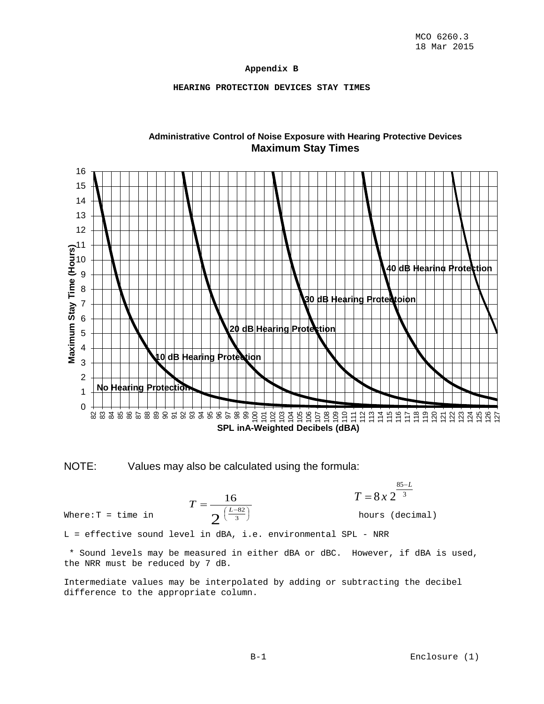## **Appendix B**

## **HEARING PROTECTION DEVICES STAY TIMES**



# **Administrative Control of Noise Exposure with Hearing Protective Devices Maximum Stay Times**



NOTE: Values may also be calculated using the formula:

$$
T = \frac{16}{2^{\left(\frac{L-82}{3}\right)}}
$$

3 85  $8x2$ *L*  $T = 8x$ − =

Where:  $T = \text{time in}$   $\sigma\left(\frac{L-0.2}{3}\right)$  hours (decimal)

L = effective sound level in dBA, i.e. environmental SPL - NRR

\* Sound levels may be measured in either dBA or dBC. However, if dBA is used, the NRR must be reduced by 7 dB.

Intermediate values may be interpolated by adding or subtracting the decibel difference to the appropriate column.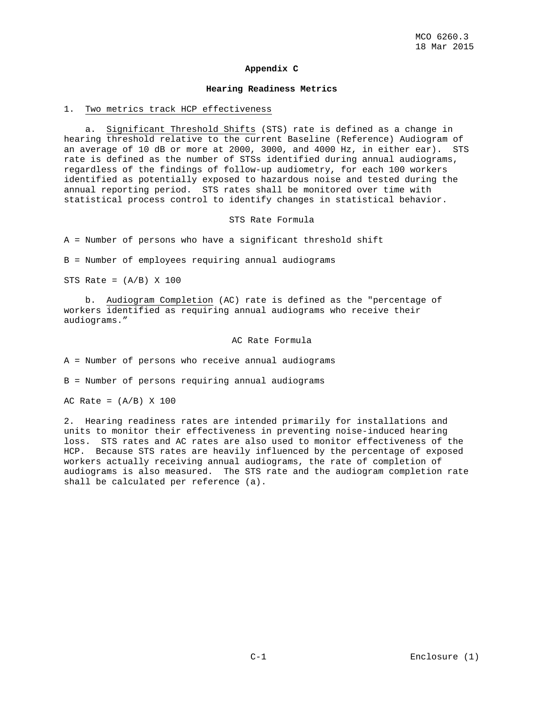#### **Appendix C**

#### **Hearing Readiness Metrics**

#### 1. Two metrics track HCP effectiveness

 a. Significant Threshold Shifts (STS) rate is defined as a change in hearing threshold relative to the current Baseline (Reference) Audiogram of an average of 10 dB or more at 2000, 3000, and 4000 Hz, in either ear). STS rate is defined as the number of STSs identified during annual audiograms, regardless of the findings of follow-up audiometry, for each 100 workers identified as potentially exposed to hazardous noise and tested during the annual reporting period. STS rates shall be monitored over time with statistical process control to identify changes in statistical behavior.

STS Rate Formula

A = Number of persons who have a significant threshold shift

B = Number of employees requiring annual audiograms

STS Rate =  $(A/B)$  X 100

 b. Audiogram Completion (AC) rate is defined as the "percentage of workers identified as requiring annual audiograms who receive their audiograms."

#### AC Rate Formula

A = Number of persons who receive annual audiograms

B = Number of persons requiring annual audiograms

AC Rate =  $(A/B)$  X 100

2. Hearing readiness rates are intended primarily for installations and units to monitor their effectiveness in preventing noise-induced hearing loss. STS rates and AC rates are also used to monitor effectiveness of the HCP. Because STS rates are heavily influenced by the percentage of exposed workers actually receiving annual audiograms, the rate of completion of audiograms is also measured. The STS rate and the audiogram completion rate shall be calculated per reference (a).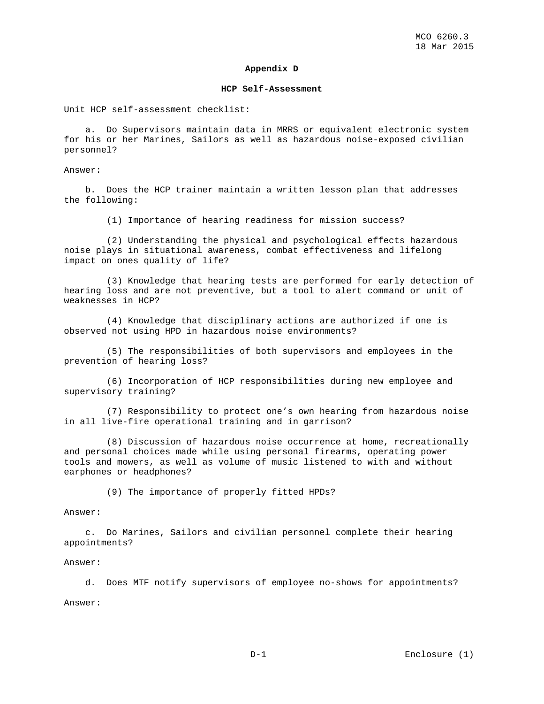#### **Appendix D**

#### **HCP Self-Assessment**

Unit HCP self-assessment checklist:

 a. Do Supervisors maintain data in MRRS or equivalent electronic system for his or her Marines, Sailors as well as hazardous noise-exposed civilian personnel?

Answer:

 b. Does the HCP trainer maintain a written lesson plan that addresses the following:

(1) Importance of hearing readiness for mission success?

 (2) Understanding the physical and psychological effects hazardous noise plays in situational awareness, combat effectiveness and lifelong impact on ones quality of life?

 (3) Knowledge that hearing tests are performed for early detection of hearing loss and are not preventive, but a tool to alert command or unit of weaknesses in HCP?

 (4) Knowledge that disciplinary actions are authorized if one is observed not using HPD in hazardous noise environments?

 (5) The responsibilities of both supervisors and employees in the prevention of hearing loss?

 (6) Incorporation of HCP responsibilities during new employee and supervisory training?

 (7) Responsibility to protect one's own hearing from hazardous noise in all live-fire operational training and in garrison?

 (8) Discussion of hazardous noise occurrence at home, recreationally and personal choices made while using personal firearms, operating power tools and mowers, as well as volume of music listened to with and without earphones or headphones?

(9) The importance of properly fitted HPDs?

Answer:

 c. Do Marines, Sailors and civilian personnel complete their hearing appointments?

#### Answer:

d. Does MTF notify supervisors of employee no-shows for appointments?

Answer: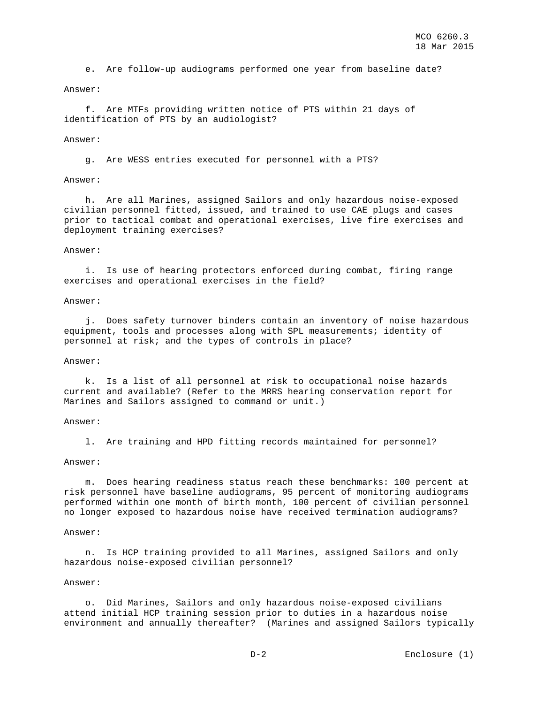e. Are follow-up audiograms performed one year from baseline date?

#### Answer:

 f. Are MTFs providing written notice of PTS within 21 days of identification of PTS by an audiologist?

#### Answer:

g. Are WESS entries executed for personnel with a PTS?

#### Answer:

 h. Are all Marines, assigned Sailors and only hazardous noise-exposed civilian personnel fitted, issued, and trained to use CAE plugs and cases prior to tactical combat and operational exercises, live fire exercises and deployment training exercises?

#### Answer:

 i. Is use of hearing protectors enforced during combat, firing range exercises and operational exercises in the field?

#### Answer:

 j. Does safety turnover binders contain an inventory of noise hazardous equipment, tools and processes along with SPL measurements; identity of personnel at risk; and the types of controls in place?

#### Answer:

 k. Is a list of all personnel at risk to occupational noise hazards current and available? (Refer to the MRRS hearing conservation report for Marines and Sailors assigned to command or unit.)

#### Answer:

l. Are training and HPD fitting records maintained for personnel?

#### Answer:

 m. Does hearing readiness status reach these benchmarks: 100 percent at risk personnel have baseline audiograms, 95 percent of monitoring audiograms performed within one month of birth month, 100 percent of civilian personnel no longer exposed to hazardous noise have received termination audiograms?

#### Answer:

 n. Is HCP training provided to all Marines, assigned Sailors and only hazardous noise-exposed civilian personnel?

#### Answer:

 o. Did Marines, Sailors and only hazardous noise-exposed civilians attend initial HCP training session prior to duties in a hazardous noise environment and annually thereafter? (Marines and assigned Sailors typically

D-2 Enclosure (1)